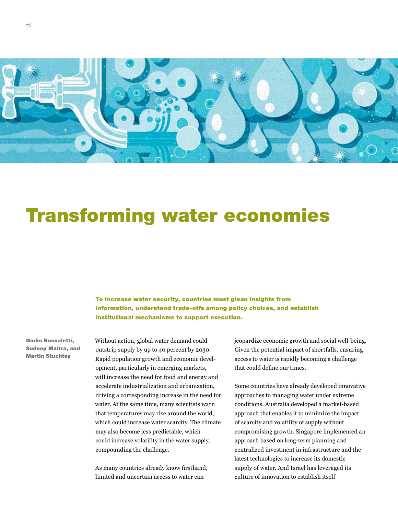

# Transforming water economies

To increase water security, countries must glean insights from information, understand trade-offs among policy choices, and establish institutional mechanisms to support execution.

Giulio Boccaletti, Sudeep Maitra, and Martin Stuchtey

Without action, global water demand could outstrip supply by up to 40 percent by 2030. Rapid population growth and economic development, particularly in emerging markets, will increase the need for food and energy and accelerate industrialization and urbanization, driving a corresponding increase in the need for water. At the same time, many scientists warn that temperatures may rise around the world, which could increase water scarcity. The climate may also become less predictable, which could increase volatility in the water supply, compounding the challenge.

As many countries already know firsthand, limited and uncertain access to water can

jeopardize economic growth and social well-being. Given the potential impact of shortfalls, ensuring access to water is rapidly becoming a challenge that could define our times.

Some countries have already developed innovative approaches to managing water under extreme conditions. Australia developed a market-based approach that enables it to minimize the impact of scarcity and volatility of supply without compromising growth. Singapore implemented an approach based on long-term planning and centralized investment in infrastructure and the latest technologies to increase its domestic supply of water. And Israel has leveraged its culture of innovation to establish itself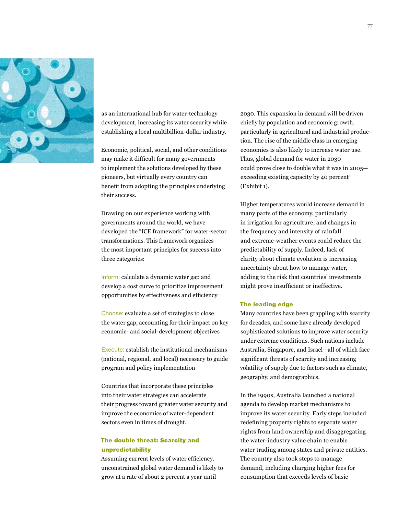

as an international hub for water-technology development, increasing its water security while establishing a local multibillion-dollar industry.

Economic, political, social, and other conditions may make it difficult for many governments to implement the solutions developed by these pioneers, but virtually every country can benefit from adopting the principles underlying their success.

Drawing on our experience working with governments around the world, we have developed the "ICE framework" for water-sector transformations. This framework organizes the most important principles for success into three categories:

Inform: calculate a dynamic water gap and develop a cost curve to prioritize improvement opportunities by effectiveness and efficiency

Choose: evaluate a set of strategies to close the water gap, accounting for their impact on key economic- and social-development objectives

Execute: establish the institutional mechanisms (national, regional, and local) necessary to guide program and policy implementation

Countries that incorporate these principles into their water strategies can accelerate their progress toward greater water security and improve the economics of water-dependent sectors even in times of drought.

# The double threat: Scarcity and unpredictability

Assuming current levels of water efficiency, unconstrained global water demand is likely to grow at a rate of about 2 percent a year until

2030. This expansion in demand will be driven chiefly by population and economic growth, particularly in agricultural and industrial production. The rise of the middle class in emerging economies is also likely to increase water use. Thus, global demand for water in 2030 could prove close to double what it was in 2005 exceeding existing capacity by 40 percent<sup>1</sup> (Exhibit 1).

Higher temperatures would increase demand in many parts of the economy, particularly in irrigation for agriculture, and changes in the frequency and intensity of rainfall and extreme-weather events could reduce the predictability of supply. Indeed, lack of clarity about climate evolution is increasing uncertainty about how to manage water, adding to the risk that countries' investments might prove insufficient or ineffective.

#### The leading edge

Many countries have been grappling with scarcity for decades, and some have already developed sophisticated solutions to improve water security under extreme conditions. Such nations include Australia, Singapore, and Israel—all of which face significant threats of scarcity and increasing volatility of supply due to factors such as climate, geography, and demographics.

In the 1990s, Australia launched a national agenda to develop market mechanisms to improve its water security. Early steps included redefining property rights to separate water rights from land ownership and disaggregating the water-industry value chain to enable water trading among states and private entities. The country also took steps to manage demand, including charging higher fees for consumption that exceeds levels of basic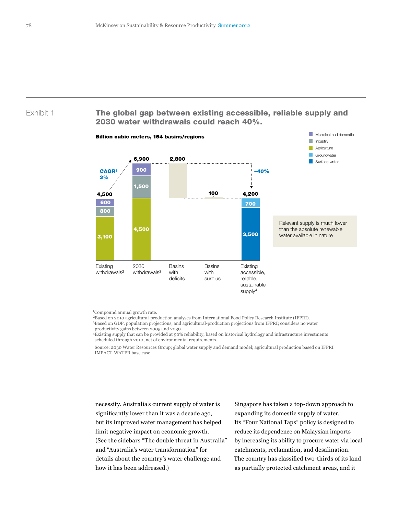# Exhibit 1 The global gap between existing accessible, reliable supply and 2030 water withdrawals could reach 40%.



1Compound annual growth rate.

2Based on 2010 agricultural-production analyses from International Food Policy Research Institute (IFPRI).

3Based on GDP, population projections, and agricultural-production projections from IFPRI; considers no water productivity gains between 2005 and 2030.

4Existing supply that can be provided at 90% reliability, based on historical hydrology and infrastructure investments scheduled through 2010, net of environmental requirements.

Source: 2030 Water Resources Group; global water supply and demand model; agricultural production based on IFPRI IMPACT-WATER base case

necessity. Australia's current supply of water is significantly lower than it was a decade ago, but its improved water management has helped limit negative impact on economic growth. (See the sidebars "The double threat in Australia" and "Australia's water transformation" for details about the country's water challenge and how it has been addressed.)

Singapore has taken a top-down approach to expanding its domestic supply of water. Its "Four National Taps" policy is designed to reduce its dependence on Malaysian imports by increasing its ability to procure water via local catchments, reclamation, and desalination. The country has classified two-thirds of its land as partially protected catchment areas, and it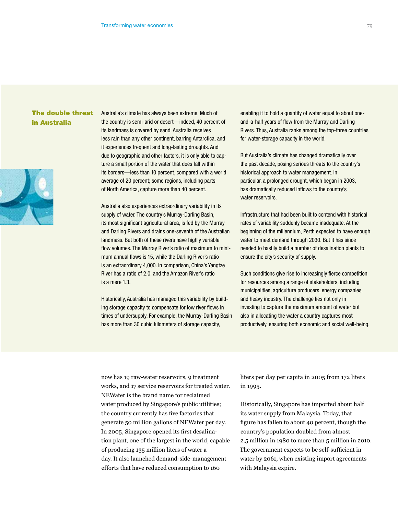# The double threat in Australia



Australia's climate has always been extreme. Much of the country is semi-arid or desert—indeed, 40 percent of its landmass is covered by sand. Australia receives less rain than any other continent, barring Antarctica, and it experiences frequent and long-lasting droughts. And due to geographic and other factors, it is only able to capture a small portion of the water that does fall within its borders—less than 10 percent, compared with a world average of 20 percent; some regions, including parts of North America, capture more than 40 percent.

Australia also experiences extraordinary variability in its supply of water. The country's Murray-Darling Basin, its most significant agricultural area, is fed by the Murray and Darling Rivers and drains one-seventh of the Australian landmass. But both of these rivers have highly variable flow volumes. The Murray River's ratio of maximum to minimum annual flows is 15, while the Darling River's ratio is an extraordinary 4,000. In comparison, China's Yangtze River has a ratio of 2.0, and the Amazon River's ratio is a mere 1.3.

Historically, Australia has managed this variability by building storage capacity to compensate for low river flows in times of undersupply. For example, the Murray-Darling Basin has more than 30 cubic kilometers of storage capacity,

enabling it to hold a quantity of water equal to about oneand-a-half years of flow from the Murray and Darling Rivers. Thus, Australia ranks among the top-three countries for water-storage capacity in the world.

But Australia's climate has changed dramatically over the past decade, posing serious threats to the country's historical approach to water management. In particular, a prolonged drought, which began in 2003, has dramatically reduced inflows to the country's water reservoirs.

Infrastructure that had been built to contend with historical rates of variability suddenly became inadequate. At the beginning of the millennium, Perth expected to have enough water to meet demand through 2030. But it has since needed to hastily build a number of desalination plants to ensure the city's security of supply.

Such conditions give rise to increasingly fierce competition for resources among a range of stakeholders, including municipalities, agriculture producers, energy companies, and heavy industry. The challenge lies not only in investing to capture the maximum amount of water but also in allocating the water a country captures most productively, ensuring both economic and social well-being.

now has 19 raw-water reservoirs, 9 treatment works, and 17 service reservoirs for treated water. NEWater is the brand name for reclaimed water produced by Singapore's public utilities; the country currently has five factories that generate 50 million gallons of NEWater per day. In 2005, Singapore opened its first desalination plant, one of the largest in the world, capable of producing 135 million liters of water a day. It also launched demand-side-management efforts that have reduced consumption to 160

liters per day per capita in 2005 from 172 liters in 1995.

Historically, Singapore has imported about half its water supply from Malaysia. Today, that figure has fallen to about 40 percent, though the country's population doubled from almost 2.5 million in 1980 to more than 5 million in 2010. The government expects to be self-sufficient in water by 2061, when existing import agreements with Malaysia expire.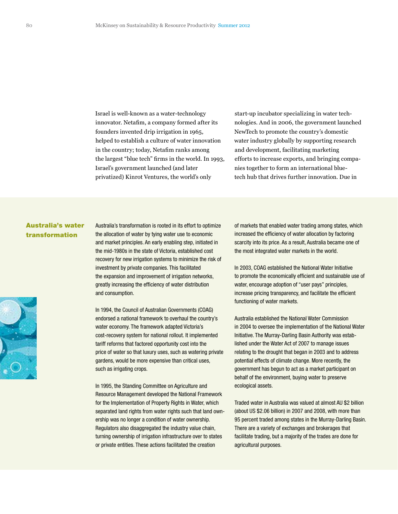Israel is well-known as a water-technology innovator. Netafim, a company formed after its founders invented drip irrigation in 1965, helped to establish a culture of water innovation in the country; today, Netafim ranks among the largest "blue tech" firms in the world. In 1993, Israel's government launched (and later privatized) Kinrot Ventures, the world's only

start-up incubator specializing in water technologies. And in 2006, the government launched NewTech to promote the country's domestic water industry globally by supporting research and development, facilitating marketing efforts to increase exports, and bringing companies together to form an international bluetech hub that drives further innovation. Due in

# Australia's water transformation

Australia's transformation is rooted in its effort to optimize the allocation of water by tying water use to economic and market principles. An early enabling step, initiated in the mid-1980s in the state of Victoria, established cost recovery for new irrigation systems to minimize the risk of investment by private companies. This facilitated the expansion and improvement of irrigation networks, greatly increasing the efficiency of water distribution and consumption.

In 1994, the Council of Australian Governments (COAG) endorsed a national framework to overhaul the country's water economy. The framework adapted Victoria's cost-recovery system for national rollout. It implemented tariff reforms that factored opportunity cost into the price of water so that luxury uses, such as watering private gardens, would be more expensive than critical uses, such as irrigating crops.

In 1995, the Standing Committee on Agriculture and Resource Management developed the National Framework for the Implementation of Property Rights in Water, which separated land rights from water rights such that land ownership was no longer a condition of water ownership. Regulators also disaggregated the industry value chain, turning ownership of irrigation infrastructure over to states or private entities. These actions facilitated the creation

of markets that enabled water trading among states, which increased the efficiency of water allocation by factoring scarcity into its price. As a result, Australia became one of the most integrated water markets in the world.

In 2003, COAG established the National Water Initiative to promote the economically efficient and sustainable use of water, encourage adoption of "user pays" principles, increase pricing transparency, and facilitate the efficient functioning of water markets.

Australia established the National Water Commission in 2004 to oversee the implementation of the National Water Initiative. The Murray-Darling Basin Authority was established under the Water Act of 2007 to manage issues relating to the drought that began in 2003 and to address potential effects of climate change. More recently, the government has begun to act as a market participant on behalf of the environment, buying water to preserve ecological assets.

Traded water in Australia was valued at almost AU \$2 billion (about US \$2.06 billion) in 2007 and 2008, with more than 95 percent traded among states in the Murray-Darling Basin. There are a variety of exchanges and brokerages that facilitate trading, but a majority of the trades are done for agricultural purposes.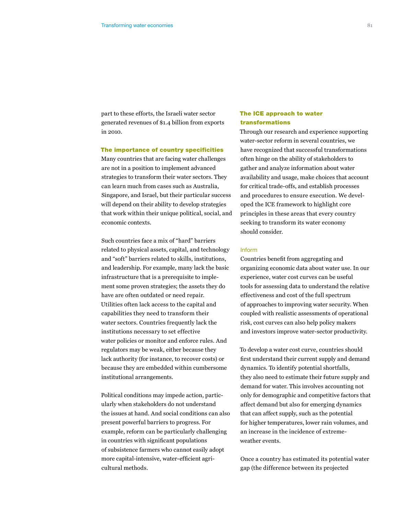part to these efforts, the Israeli water sector generated revenues of \$1.4 billion from exports in 2010.

### The importance of country specificities

Many countries that are facing water challenges are not in a position to implement advanced strategies to transform their water sectors. They can learn much from cases such as Australia, Singapore, and Israel, but their particular success will depend on their ability to develop strategies that work within their unique political, social, and economic contexts.

Such countries face a mix of "hard" barriers related to physical assets, capital, and technology and "soft" barriers related to skills, institutions, and leadership. For example, many lack the basic infrastructure that is a prerequisite to implement some proven strategies; the assets they do have are often outdated or need repair. Utilities often lack access to the capital and capabilities they need to transform their water sectors. Countries frequently lack the institutions necessary to set effective water policies or monitor and enforce rules. And regulators may be weak, either because they lack authority (for instance, to recover costs) or because they are embedded within cumbersome institutional arrangements.

Political conditions may impede action, particularly when stakeholders do not understand the issues at hand. And social conditions can also present powerful barriers to progress. For example, reform can be particularly challenging in countries with significant populations of subsistence farmers who cannot easily adopt more capital-intensive, water-efficient agricultural methods.

# The ICE approach to water transformations

Through our research and experience supporting water-sector reform in several countries, we have recognized that successful transformations often hinge on the ability of stakeholders to gather and analyze information about water availability and usage, make choices that account for critical trade-offs, and establish processes and procedures to ensure execution. We developed the ICE framework to highlight core principles in these areas that every country seeking to transform its water economy should consider.

#### Inform

Countries benefit from aggregating and organizing economic data about water use. In our experience, water cost curves can be useful tools for assessing data to understand the relative effectiveness and cost of the full spectrum of approaches to improving water security. When coupled with realistic assessments of operational risk, cost curves can also help policy makers and investors improve water-sector productivity.

To develop a water cost curve, countries should first understand their current supply and demand dynamics. To identify potential shortfalls, they also need to estimate their future supply and demand for water. This involves accounting not only for demographic and competitive factors that affect demand but also for emerging dynamics that can affect supply, such as the potential for higher temperatures, lower rain volumes, and an increase in the incidence of extremeweather events.

Once a country has estimated its potential water gap (the difference between its projected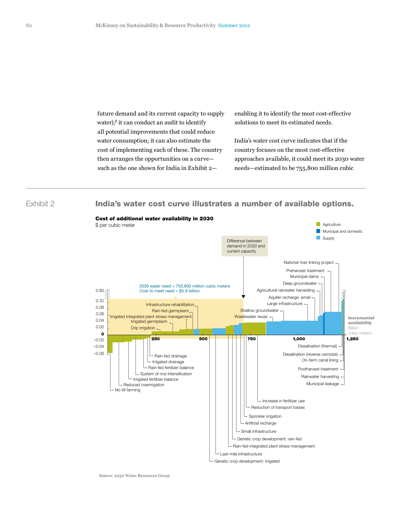future demand and its current capacity to supply water),<sup>2</sup> it can conduct an audit to identify all potential improvements that could reduce water consumption; it can also estimate the cost of implementing each of these. The country then arranges the opportunities on a curve such as the one shown for India in Exhibit 2enabling it to identify the most cost-effective solutions to meet its estimated needs.

India's water cost curve indicates that if the country focuses on the most cost-effective approaches available, it could meet its 2030 water needs—estimated to be 755,800 million cubic

Exhibit 2

India's water cost curve illustrates a number of available options.

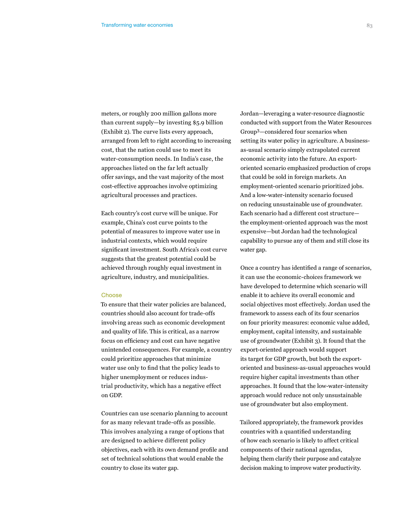meters, or roughly 200 million gallons more than current supply—by investing \$5.9 billion (Exhibit 2). The curve lists every approach, arranged from left to right according to increasing cost, that the nation could use to meet its water-consumption needs. In India's case, the approaches listed on the far left actually offer savings, and the vast majority of the most cost-effective approaches involve optimizing agricultural processes and practices.

Each country's cost curve will be unique. For example, China's cost curve points to the potential of measures to improve water use in industrial contexts, which would require significant investment. South Africa's cost curve suggests that the greatest potential could be achieved through roughly equal investment in agriculture, industry, and municipalities.

#### **Choose**

To ensure that their water policies are balanced, countries should also account for trade-offs involving areas such as economic development and quality of life. This is critical, as a narrow focus on efficiency and cost can have negative unintended consequences. For example, a country could prioritize approaches that minimize water use only to find that the policy leads to higher unemployment or reduces industrial productivity, which has a negative effect on GDP.

Countries can use scenario planning to account for as many relevant trade-offs as possible. This involves analyzing a range of options that are designed to achieve different policy objectives, each with its own demand profile and set of technical solutions that would enable the country to close its water gap.

Jordan—leveraging a water-resource diagnostic conducted with support from the Water Resources Group3—considered four scenarios when setting its water policy in agriculture. A businessas-usual scenario simply extrapolated current economic activity into the future. An exportoriented scenario emphasized production of crops that could be sold in foreign markets. An employment-oriented scenario prioritized jobs. And a low-water-intensity scenario focused on reducing unsustainable use of groundwater. Each scenario had a different cost structure the employment-oriented approach was the most expensive—but Jordan had the technological capability to pursue any of them and still close its water gap.

Once a country has identified a range of scenarios, it can use the economic-choices framework we have developed to determine which scenario will enable it to achieve its overall economic and social objectives most effectively. Jordan used the framework to assess each of its four scenarios on four priority measures: economic value added, employment, capital intensity, and sustainable use of groundwater (Exhibit 3). It found that the export-oriented approach would support its target for GDP growth, but both the exportoriented and business-as-usual approaches would require higher capital investments than other approaches. It found that the low-water-intensity approach would reduce not only unsustainable use of groundwater but also employment.

Tailored appropriately, the framework provides countries with a quantified understanding of how each scenario is likely to affect critical components of their national agendas, helping them clarify their purpose and catalyze decision making to improve water productivity.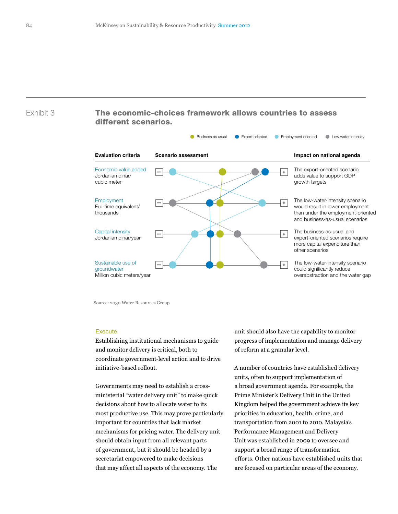# Exhibit 3 The economic-choices framework allows countries to assess different scenarios.



Source: 2030 Water Resources Group

## Execute

Establishing institutional mechanisms to guide and monitor delivery is critical, both to coordinate government-level action and to drive initiative-based rollout.

Governments may need to establish a crossministerial "water delivery unit" to make quick decisions about how to allocate water to its most productive use. This may prove particularly important for countries that lack market mechanisms for pricing water. The delivery unit should obtain input from all relevant parts of government, but it should be headed by a secretariat empowered to make decisions that may affect all aspects of the economy. The

unit should also have the capability to monitor progress of implementation and manage delivery of reform at a granular level.

A number of countries have established delivery units, often to support implementation of a broad government agenda. For example, the Prime Minister's Delivery Unit in the United Kingdom helped the government achieve its key priorities in education, health, crime, and transportation from 2001 to 2010. Malaysia's Performance Management and Delivery Unit was established in 2009 to oversee and support a broad range of transformation efforts. Other nations have established units that are focused on particular areas of the economy.